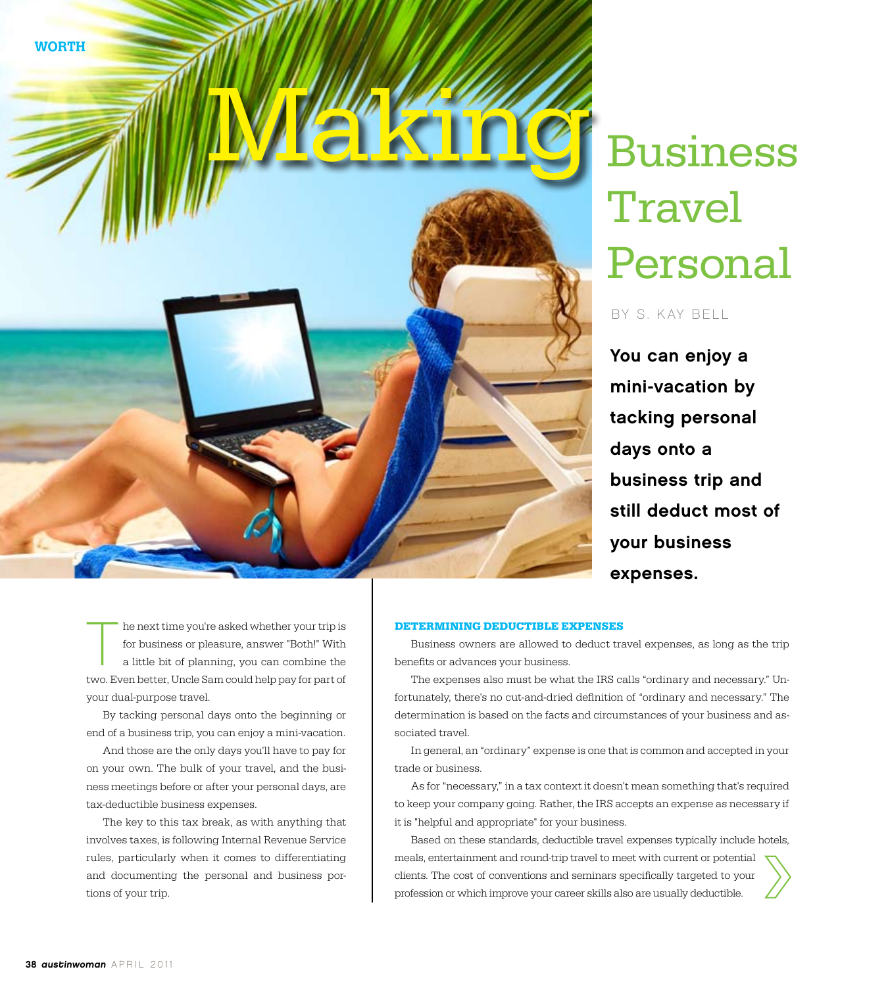



# Business **Travel** Personal

by S. K ay Bell

You can enjoy a mini-vacation by tacking personal days onto a business trip and still deduct most of your business expenses.

he next time you're asked whether your trip is for business or pleasure, answer "Both!" With a little bit of planning, you can combine the two. Even better, Uncle Sam could help pay for part of your dual-purpose travel.

By tacking personal days onto the beginning or end of a business trip, you can enjoy a mini-vacation.

And those are the only days you'll have to pay for on your own. The bulk of your travel, and the business meetings before or after your personal days, are tax-deductible business expenses.

The key to this tax break, as with anything that involves taxes, is following Internal Revenue Service rules, particularly when it comes to differentiating and documenting the personal and business portions of your trip.

#### **Determining Deductible Expenses**

Business owners are allowed to deduct travel expenses, as long as the trip benefits or advances your business.

The expenses also must be what the IRS calls "ordinary and necessary." Unfortunately, there's no cut-and-dried definition of "ordinary and necessary." The determination is based on the facts and circumstances of your business and associated travel.

In general, an "ordinary" expense is one that is common and accepted in your trade or business.

As for "necessary," in a tax context it doesn't mean something that's required to keep your company going. Rather, the IRS accepts an expense as necessary if it is "helpful and appropriate" for your business.

Based on these standards, deductible travel expenses typically include hotels, meals, entertainment and round-trip travel to meet with current or potential clients. The cost of conventions and seminars specifically targeted to your profession or which improve your career skills also are usually deductible.